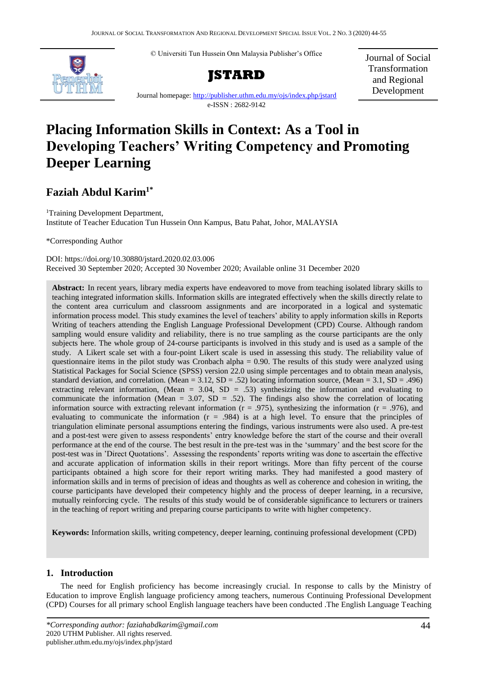© Universiti Tun Hussein Onn Malaysia Publisher's Office



**JSTARD**

Journal of Social Transformation and Regional Development

Journal homepage:<http://publisher.uthm.edu.my/ojs/index.php/jstard> e-ISSN : 2682-9142

# **Placing Information Skills in Context: As a Tool in Developing Teachers' Writing Competency and Promoting Deeper Learning**

# **Faziah Abdul Karim1\***

<sup>1</sup>Training Development Department, Institute of Teacher Education Tun Hussein Onn Kampus, Batu Pahat, Johor, MALAYSIA

\*Corresponding Author

### DOI: https://doi.org/10.30880/jstard.2020.02.03.006 Received 30 September 2020; Accepted 30 November 2020; Available online 31 December 2020

**Abstract:** In recent years, library media experts have endeavored to move from teaching isolated library skills to teaching integrated information skills. Information skills are integrated effectively when the skills directly relate to the content area curriculum and classroom assignments and are incorporated in a logical and systematic information process model. This study examines the level of teachers' ability to apply information skills in Reports Writing of teachers attending the English Language Professional Development (CPD) Course. Although random sampling would ensure validity and reliability, there is no true sampling as the course participants are the only subjects here. The whole group of 24-course participants is involved in this study and is used as a sample of the study. A Likert scale set with a four-point Likert scale is used in assessing this study. The reliability value of questionnaire items in the pilot study was Cronbach alpha = 0.90. The results of this study were analyzed using Statistical Packages for Social Science (SPSS) version 22.0 using simple percentages and to obtain mean analysis, standard deviation, and correlation. (Mean = 3.12,  $SD = .52$ ) locating information source, (Mean = 3.1,  $SD = .496$ ) extracting relevant information, (Mean  $= 3.04$ , SD  $= .53$ ) synthesizing the information and evaluating to communicate the information (Mean =  $3.07$ , SD =  $.52$ ). The findings also show the correlation of locating information source with extracting relevant information ( $r = .975$ ), synthesizing the information ( $r = .976$ ), and evaluating to communicate the information  $(r = .984)$  is at a high level. To ensure that the principles of triangulation eliminate personal assumptions entering the findings, various instruments were also used. A pre-test and a post-test were given to assess respondents' entry knowledge before the start of the course and their overall performance at the end of the course. The best result in the pre-test was in the 'summary' and the best score for the post-test was in 'Direct Quotations'. Assessing the respondents' reports writing was done to ascertain the effective and accurate application of information skills in their report writings. More than fifty percent of the course participants obtained a high score for their report writing marks. They had manifested a good mastery of information skills and in terms of precision of ideas and thoughts as well as coherence and cohesion in writing, the course participants have developed their competency highly and the process of deeper learning, in a recursive, mutually reinforcing cycle. The results of this study would be of considerable significance to lecturers or trainers in the teaching of report writing and preparing course participants to write with higher competency.

**Keywords:** Information skills, writing competency, deeper learning, continuing professional development (CPD)

# **1. Introduction**

The need for English proficiency has become increasingly crucial. In response to calls by the Ministry of Education to improve English language proficiency among teachers, numerous Continuing Professional Development (CPD) Courses for all primary school English language teachers have been conducted .The English Language Teaching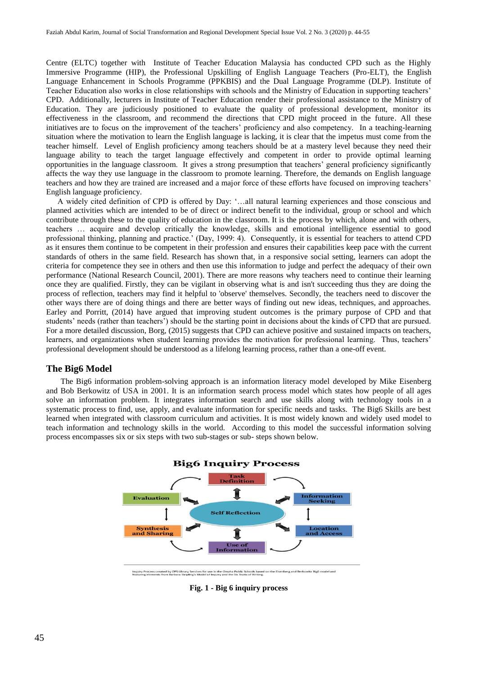Centre (ELTC) together with Institute of Teacher Education Malaysia has conducted CPD such as the Highly Immersive Programme (HIP), the Professional Upskilling of English Language Teachers (Pro-ELT), the English Language Enhancement in Schools Programme (PPKBIS) and the Dual Language Programme (DLP). Institute of Teacher Education also works in close relationships with schools and the Ministry of Education in supporting teachers' CPD. Additionally, lecturers in Institute of Teacher Education render their professional assistance to the Ministry of Education. They are judiciously positioned to evaluate the quality of professional development, monitor its effectiveness in the classroom, and recommend the directions that CPD might proceed in the future. All these initiatives are to focus on the improvement of the teachers' proficiency and also competency. In a teaching-learning situation where the motivation to learn the English language is lacking, it is clear that the impetus must come from the teacher himself. Level of English proficiency among teachers should be at a mastery level because they need their language ability to teach the target language effectively and competent in order to provide optimal learning opportunities in the language classroom. It gives a strong presumption that teachers' general proficiency significantly affects the way they use language in the classroom to promote learning. Therefore, the demands on English language teachers and how they are trained are increased and a major force of these efforts have focused on improving teachers' English language proficiency.

A widely cited definition of CPD is offered by Day: '…all natural learning experiences and those conscious and planned activities which are intended to be of direct or indirect benefit to the individual, group or school and which contribute through these to the quality of education in the classroom. It is the process by which, alone and with others, teachers … acquire and develop critically the knowledge, skills and emotional intelligence essential to good professional thinking, planning and practice.' (Day, 1999: 4). Consequently, it is essential for teachers to attend CPD as it ensures them continue to be competent in their profession and ensures their capabilities keep pace with the current standards of others in the same field. Research has shown that, in a responsive social setting, learners can adopt the criteria for competence they see in others and then use this information to judge and perfect the adequacy of their own performance (National Research Council, 2001). There are more reasons why teachers need to continue their learning once they are qualified. Firstly, they can be vigilant in observing what is and isn't succeeding thus they are doing the process of reflection, teachers may find it helpful to 'observe' themselves. Secondly, the teachers need to discover the other ways there are of doing things and there are better ways of finding out new ideas, techniques, and approaches. Earley and Porritt, (2014) have argued that improving student outcomes is the primary purpose of CPD and that students' needs (rather than teachers') should be the starting point in decisions about the kinds of CPD that are pursued. For a more detailed discussion, Borg, (2015) suggests that CPD can achieve positive and sustained impacts on teachers, learners, and organizations when student learning provides the motivation for professional learning. Thus, teachers' professional development should be understood as a lifelong learning process, rather than a one-off event.

### **The Big6 Model**

The Big6 information problem-solving approach is an information literacy model developed by Mike Eisenberg and Bob Berkowitz of USA in 2001. It is an information search process model which states how people of all ages solve an information problem. It integrates information search and use skills along with technology tools in a systematic process to find, use, apply, and evaluate information for specific needs and tasks. The Big6 Skills are best learned when integrated with classroom curriculum and activities. It is most widely known and widely used model to teach information and technology skills in the world. According to this model the successful information solving process encompasses six or six steps with two sub-stages or sub- steps shown below.



Inquiry Process created by OPS Library Services for use in the Omaha Public Schools based<br>featuring elements from Barbara Stripling's Model of Inquiry and the Six Traits of Writing.

**Fig. 1 - Big 6 inquiry process**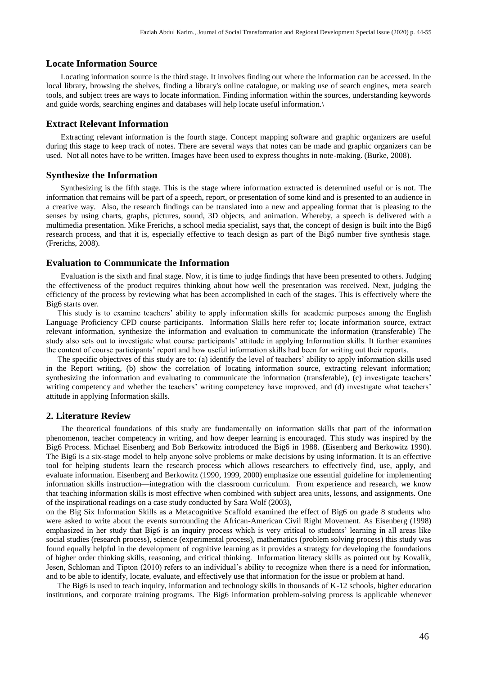#### **Locate Information Source**

Locating information source is the third stage. It involves finding out where the information can be accessed. In the local library, browsing the shelves, finding a library's online catalogue, or making use of search engines, meta search tools, and subject trees are ways to locate information. Finding information within the sources, understanding keywords and guide words, searching engines and databases will help locate useful information.\

#### **Extract Relevant Information**

Extracting relevant information is the fourth stage. Concept mapping software and graphic organizers are useful during this stage to keep track of notes. There are several ways that notes can be made and graphic organizers can be used. Not all notes have to be written. Images have been used to express thoughts in note-making. (Burke, 2008).

#### **Synthesize the Information**

Synthesizing is the fifth stage. This is the stage where information extracted is determined useful or is not. The information that remains will be part of a speech, report, or presentation of some kind and is presented to an audience in a creative way. Also, the research findings can be translated into a new and appealing format that is pleasing to the senses by using charts, graphs, pictures, sound, 3D objects, and animation. Whereby, a speech is delivered with a multimedia presentation. Mike Frerichs, a school media specialist, says that, the concept of design is built into the Big6 research process, and that it is, especially effective to teach design as part of the Big6 number five synthesis stage. (Frerichs, 2008).

#### **Evaluation to Communicate the Information**

Evaluation is the sixth and final stage. Now, it is time to judge findings that have been presented to others. Judging the effectiveness of the product requires thinking about how well the presentation was received. Next, judging the efficiency of the process by reviewing what has been accomplished in each of the stages. This is effectively where the Big6 starts over.

This study is to examine teachers' ability to apply information skills for academic purposes among the English Language Proficiency CPD course participants. Information Skills here refer to; locate information source, extract relevant information, synthesize the information and evaluation to communicate the information (transferable) The study also sets out to investigate what course participants' attitude in applying Information skills. It further examines the content of course participants' report and how useful information skills had been for writing out their reports.

The specific objectives of this study are to: (a) identify the level of teachers' ability to apply information skills used in the Report writing, (b) show the correlation of locating information source, extracting relevant information; synthesizing the information and evaluating to communicate the information (transferable), (c) investigate teachers' writing competency and whether the teachers' writing competency have improved, and (d) investigate what teachers' attitude in applying Information skills.

#### **2. Literature Review**

The theoretical foundations of this study are fundamentally on information skills that part of the information phenomenon, teacher competency in writing, and how deeper learning is encouraged. This study was inspired by the Big6 Process. Michael Eisenberg and Bob Berkowitz introduced the Big6 in 1988. (Eisenberg and Berkowitz 1990). The Big6 is a six-stage model to help anyone solve problems or make decisions by using information. It is an effective tool for helping students learn the research process which allows researchers to effectively find, use, apply, and evaluate information. Eisenberg and Berkowitz (1990, 1999, 2000) emphasize one essential guideline for implementing information skills instruction—integration with the classroom curriculum. From experience and research, we know that teaching information skills is most effective when combined with subject area units, lessons, and assignments. One of the inspirational readings on a case study conducted by Sara Wolf (2003),

on the Big Six Information Skills as a Metacognitive Scaffold examined the effect of Big6 on grade 8 students who were asked to write about the events surrounding the African-American Civil Right Movement. As Eisenberg (1998) emphasized in her study that Big6 is an inquiry process which is very critical to students' learning in all areas like social studies (research process), science (experimental process), mathematics (problem solving process) this study was found equally helpful in the development of cognitive learning as it provides a strategy for developing the foundations of higher order thinking skills, reasoning, and critical thinking. Information literacy skills as pointed out by Kovalik, Jesen, Schloman and Tipton (2010) refers to an individual's ability to recognize when there is a need for information, and to be able to identify, locate, evaluate, and effectively use that information for the issue or problem at hand.

The Big6 is used to teach inquiry, information and technology skills in thousands of K-12 schools, higher education institutions, and corporate training programs. The Big6 information problem-solving process is applicable whenever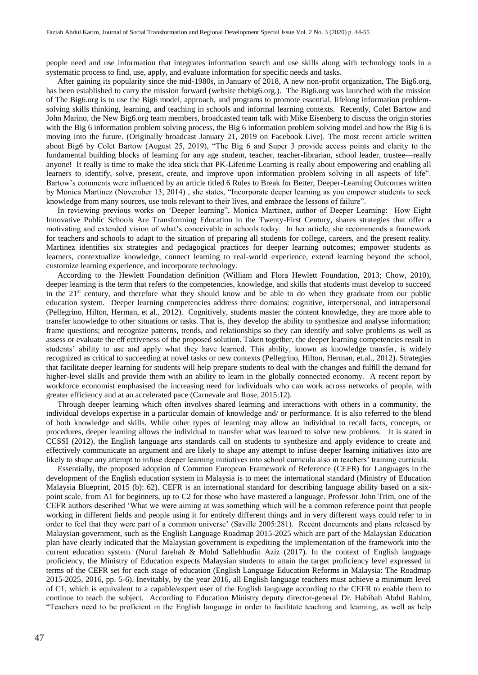people need and use information that integrates information search and use skills along with technology tools in a systematic process to find, use, apply, and evaluate information for specific needs and tasks.

After gaining its popularity since the mid-1980s, in January of 2018, A new non-profit organization, The Big6.org, has been established to carry the mission forward (website thebig6.org.). The Big6.org was launched with the mission of The Big6.org is to use the Big6 model, approach, and programs to promote essential, lifelong information problemsolving skills thinking, learning, and teaching in schools and informal learning contexts. Recently, Colet Bartow and John Marino, the New Big6.org team members, broadcasted team talk with Mike Eisenberg to discuss the origin stories with the Big 6 information problem solving process, the Big 6 information problem solving model and how the Big 6 is moving into the future. (Originally broadcast January 21, 2019 on Facebook Live). The most recent article written about Big6 by Colet Bartow (August 25, 2019), "The Big 6 and Super 3 provide access points and clarity to the fundamental building blocks of learning for any age student, teacher, teacher-librarian, school leader, trustee—really anyone! It really is time to make the idea stick that PK-Lifetime Learning is really about empowering and enabling all learners to identify, solve, present, create, and improve upon information problem solving in all aspects of life". Bartow's comments were influenced by an article titled 6 Rules to Break for Better, Deeper-Learning Outcomes written by Monica Martinez (November 13, 2014) , she states, "Incorporate deeper learning as you empower students to seek knowledge from many sources, use tools relevant to their lives, and embrace the lessons of failure".

In reviewing previous works on 'Deeper learning", Monica Martinez, author of Deeper Learning: How Eight Innovative Public Schools Are Transforming Education in the Twenty-First Century, shares strategies that offer a motivating and extended vision of what's conceivable in schools today. In her article, she recommends a framework for teachers and schools to adapt to the situation of preparing all students for college, careers, and the present reality. Martinez identifies six strategies and pedagogical practices for deeper learning outcomes; empower students as learners, contextualize knowledge, connect learning to real-world experience, extend learning beyond the school, customize learning experience, and incorporate technology.

According to the Hewlett Foundation definition (William and Flora Hewlett Foundation, 2013; Chow, 2010), deeper learning is the term that refers to the competencies, knowledge, and skills that students must develop to succeed in the 21<sup>st</sup> century, and therefore what they should know and be able to do when they graduate from our public education system. Deeper learning competencies address three domains: cognitive, interpersonal, and intrapersonal (Pellegrino, Hilton, Herman, et al., 2012). Cognitively, students master the content knowledge, they are more able to transfer knowledge to other situations or tasks. That is, they develop the ability to synthesize and analyse information; frame questions; and recognize patterns, trends, and relationships so they can identify and solve problems as well as assess or evaluate the eff ectiveness of the proposed solution. Taken together, the deeper learning competencies result in students' ability to use and apply what they have learned. This ability, known as knowledge transfer, is widely recognized as critical to succeeding at novel tasks or new contexts (Pellegrino, Hilton, Herman, et.al., 2012). Strategies that facilitate deeper learning for students will help prepare students to deal with the changes and fulfill the demand for higher-level skills and provide them with an ability to learn in the globally connected economy. A recent report by workforce economist emphasised the increasing need for individuals who can work across networks of people, with greater efficiency and at an accelerated pace (Carnevale and Rose, 2015:12).

Through deeper learning which often involves shared learning and interactions with others in a community, the individual develops expertise in a particular domain of knowledge and/ or performance. It is also referred to the blend of both knowledge and skills. While other types of learning may allow an individual to recall facts, concepts, or procedures, deeper learning allows the individual to transfer what was learned to solve new problems. It is stated in CCSSI (2012), the English language arts standards call on students to synthesize and apply evidence to create and effectively communicate an argument and are likely to shape any attempt to infuse deeper learning initiatives into are likely to shape any attempt to infuse deeper learning initiatives into school curricula also in teachers' training curricula.

Essentially, the proposed adoption of Common European Framework of Reference (CEFR) for Languages in the development of the English education system in Malaysia is to meet the international standard (Ministry of Education Malaysia Blueprint, 2015 (b): 62). CEFR is an international standard for describing language ability based on a sixpoint scale, from A1 for beginners, up to C2 for those who have mastered a language. Professor John Trim, one of the CEFR authors described 'What we were aiming at was something which will be a common reference point that people working in different fields and people using it for entirely different things and in very different ways could refer to in order to feel that they were part of a common universe' (Saville 2005:281). Recent documents and plans released by Malaysian government, such as the English Language Roadmap 2015-2025 which are part of the Malaysian Education plan have clearly indicated that the Malaysian government is expediting the implementation of the framework into the current education system. (Nurul farehah & Mohd Sallehhudin Aziz (2017). In the context of English language proficiency, the Ministry of Education expects Malaysian students to attain the target proficiency level expressed in terms of the CEFR set for each stage of education (English Language Education Reforms in Malaysia: The Roadmap 2015-2025, 2016, pp. 5-6). Inevitably, by the year 2016, all English language teachers must achieve a minimum level of C1, which is equivalent to a capable/expert user of the English language according to the CEFR to enable them to continue to teach the subject. According to Education Ministry deputy director-general Dr. Habibah Abdul Rahim, "Teachers need to be proficient in the English language in order to facilitate teaching and learning, as well as help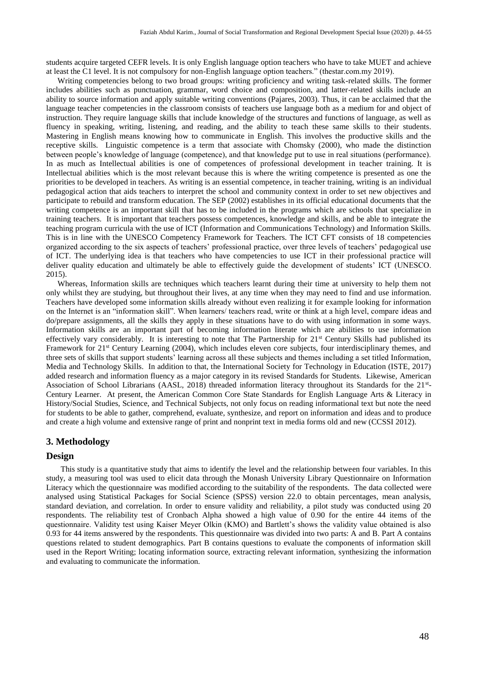students acquire targeted CEFR levels. It is only English language option teachers who have to take MUET and achieve at least the C1 level. It is not compulsory for non-English language option teachers." (thestar.com.my 2019).

Writing competencies belong to two broad groups: writing proficiency and writing task-related skills. The former includes abilities such as punctuation, grammar, word choice and composition, and latter-related skills include an ability to source information and apply suitable writing conventions (Pajares, 2003). Thus, it can be acclaimed that the language teacher competencies in the classroom consists of teachers use language both as a medium for and object of instruction. They require language skills that include knowledge of the structures and functions of language, as well as fluency in speaking, writing, listening, and reading, and the ability to teach these same skills to their students. Mastering in English means knowing how to communicate in English. This involves the productive skills and the receptive skills. Linguistic competence is a term that associate with Chomsky (2000), who made the distinction between people's knowledge of language (competence), and that knowledge put to use in real situations (performance). In as much as Intellectual abilities is one of competences of professional development in teacher training. It is Intellectual abilities which is the most relevant because this is where the writing competence is presented as one the priorities to be developed in teachers. As writing is an essential competence, in teacher training, writing is an individual pedagogical action that aids teachers to interpret the school and community context in order to set new objectives and participate to rebuild and transform education. The SEP (2002) establishes in its official educational documents that the writing competence is an important skill that has to be included in the programs which are schools that specialize in training teachers. It is important that teachers possess competences, knowledge and skills, and be able to integrate the teaching program curricula with the use of ICT (Information and Communications Technology) and Information Skills. This is in line with the UNESCO Competency Framework for Teachers. The ICT CFT consists of 18 competencies organized according to the six aspects of teachers' professional practice, over three levels of teachers' pedagogical use of ICT. The underlying idea is that teachers who have competencies to use ICT in their professional practice will deliver quality education and ultimately be able to effectively guide the development of students' ICT (UNESCO. 2015).

Whereas, Information skills are techniques which teachers learnt during their time at university to help them not only whilst they are studying, but throughout their lives, at any time when they may need to find and use information. Teachers have developed some information skills already without even realizing it for example looking for information on the Internet is an "information skill". When learners/ teachers read, write or think at a high level, compare ideas and do/prepare assignments, all the skills they apply in these situations have to do with using information in some ways. Information skills are an important part of becoming information literate which are abilities to use information effectively vary considerably. It is interesting to note that The Partnership for  $21<sup>st</sup>$  Century Skills had published its Framework for 21<sup>st</sup> Century Learning (2004), which includes eleven core subjects, four interdisciplinary themes, and three sets of skills that support students' learning across all these subjects and themes including a set titled Information, Media and Technology Skills. In addition to that, the International Society for Technology in Education (ISTE, 2017) added research and information fluency as a major category in its revised Standards for Students. Likewise, American Association of School Librarians (AASL, 2018) threaded information literacy throughout its Standards for the 21<sup>st</sup>-Century Learner. At present, the American Common Core State Standards for English Language Arts & Literacy in History/Social Studies, Science, and Technical Subjects, not only focus on reading informational text but note the need for students to be able to gather, comprehend, evaluate, synthesize, and report on information and ideas and to produce and create a high volume and extensive range of print and nonprint text in media forms old and new (CCSSI 2012).

#### **3. Methodology**

#### **Design**

This study is a quantitative study that aims to identify the level and the relationship between four variables. In this study, a measuring tool was used to elicit data through the Monash University Library Questionnaire on Information Literacy which the questionnaire was modified according to the suitability of the respondents. The data collected were analysed using Statistical Packages for Social Science (SPSS) version 22.0 to obtain percentages, mean analysis, standard deviation, and correlation. In order to ensure validity and reliability, a pilot study was conducted using 20 respondents. The reliability test of Cronbach Alpha showed a high value of 0.90 for the entire 44 items of the questionnaire. Validity test using Kaiser Meyer Olkin (KMO) and Bartlett's shows the validity value obtained is also 0.93 for 44 items answered by the respondents. This questionnaire was divided into two parts: A and B. Part A contains questions related to student demographics. Part B contains questions to evaluate the components of information skill used in the Report Writing; locating information source, extracting relevant information, synthesizing the information and evaluating to communicate the information.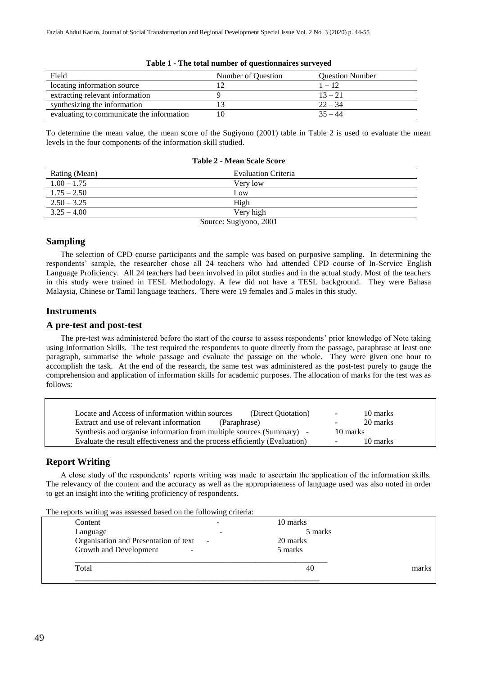| Field                                     | Number of Question | <b>Question Number</b> |
|-------------------------------------------|--------------------|------------------------|
| locating information source               |                    | $1 - 12$               |
| extracting relevant information           |                    | $13 - 21$              |
| synthesizing the information              |                    | $22 - 34$              |
| evaluating to communicate the information |                    | $35 - 44$              |

#### **Table 1 - The total number of questionnaires surveyed**

To determine the mean value, the mean score of the Sugiyono (2001) table in Table 2 is used to evaluate the mean levels in the four components of the information skill studied.

| Rating (Mean)          | <b>Evaluation Criteria</b> |  |  |
|------------------------|----------------------------|--|--|
| $1.00 - 1.75$          | Very low                   |  |  |
| $1.75 - 2.50$          | Low                        |  |  |
| $2.50 - 3.25$          | High                       |  |  |
| $3.25 - 4.00$          | Very high                  |  |  |
| Source: Sugiyono, 2001 |                            |  |  |

#### **Table 2 - Mean Scale Score**

# **Sampling**

The selection of CPD course participants and the sample was based on purposive sampling. In determining the respondents' sample, the researcher chose all 24 teachers who had attended CPD course of In-Service English Language Proficiency. All 24 teachers had been involved in pilot studies and in the actual study. Most of the teachers in this study were trained in TESL Methodology. A few did not have a TESL background. They were Bahasa Malaysia, Chinese or Tamil language teachers. There were 19 females and 5 males in this study.

# **Instruments**

#### **A pre-test and post-test**

The pre-test was administered before the start of the course to assess respondents' prior knowledge of Note taking using Information Skills. The test required the respondents to quote directly from the passage, paraphrase at least one paragraph, summarise the whole passage and evaluate the passage on the whole. They were given one hour to accomplish the task. At the end of the research, the same test was administered as the post-test purely to gauge the comprehension and application of information skills for academic purposes. The allocation of marks for the test was as follows:

| Locate and Access of information within sources                            | 10 marks           |
|----------------------------------------------------------------------------|--------------------|
| (Direct Quotation)                                                         | $\sim$ $-$         |
| Extract and use of relevant information                                    | 20 marks           |
| (Paraphrase)                                                               | -                  |
| Synthesis and organise information from multiple sources (Summary) -       | 10 marks           |
| Evaluate the result effectiveness and the process efficiently (Evaluation) | 10 marks<br>$\sim$ |

# **Report Writing**

A close study of the respondents' reports writing was made to ascertain the application of the information skills. The relevancy of the content and the accuracy as well as the appropriateness of language used was also noted in order to get an insight into the writing proficiency of respondents.

The reports writing was assessed based on the following criteria:

| Content                               |                          | 10 marks |       |
|---------------------------------------|--------------------------|----------|-------|
| Language                              | $\overline{\phantom{0}}$ | 5 marks  |       |
| Organisation and Presentation of text | $\sim$ $-$               | 20 marks |       |
| Growth and Development<br>-           |                          | 5 marks  |       |
| Total                                 |                          | 40       | marks |
|                                       |                          |          |       |
|                                       |                          |          |       |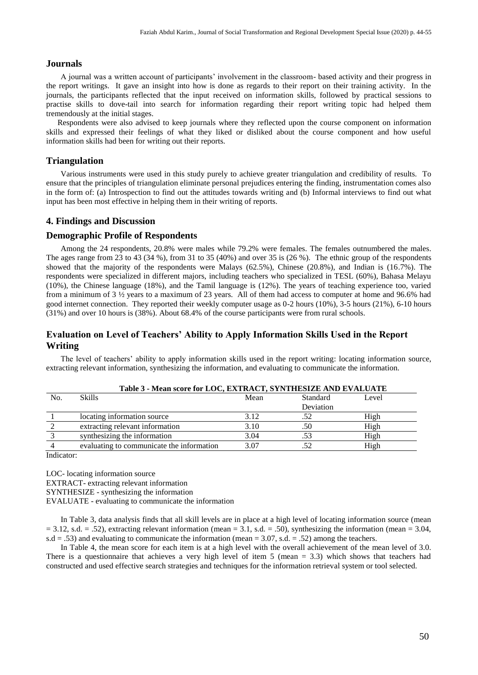# **Journals**

A journal was a written account of participants' involvement in the classroom- based activity and their progress in the report writings. It gave an insight into how is done as regards to their report on their training activity. In the journals, the participants reflected that the input received on information skills, followed by practical sessions to practise skills to dove-tail into search for information regarding their report writing topic had helped them tremendously at the initial stages.

Respondents were also advised to keep journals where they reflected upon the course component on information skills and expressed their feelings of what they liked or disliked about the course component and how useful information skills had been for writing out their reports.

# **Triangulation**

Various instruments were used in this study purely to achieve greater triangulation and credibility of results. To ensure that the principles of triangulation eliminate personal prejudices entering the finding, instrumentation comes also in the form of: (a) Introspection to find out the attitudes towards writing and (b) Informal interviews to find out what input has been most effective in helping them in their writing of reports.

# **4. Findings and Discussion**

#### **Demographic Profile of Respondents**

Among the 24 respondents, 20.8% were males while 79.2% were females. The females outnumbered the males. The ages range from 23 to 43 (34 %), from 31 to 35 (40%) and over 35 is (26 %). The ethnic group of the respondents showed that the majority of the respondents were Malays (62.5%), Chinese (20.8%), and Indian is (16.7%). The respondents were specialized in different majors, including teachers who specialized in TESL (60%), Bahasa Melayu (10%), the Chinese language (18%), and the Tamil language is (12%). The years of teaching experience too, varied from a minimum of 3 ½ years to a maximum of 23 years. All of them had access to computer at home and 96.6% had good internet connection. They reported their weekly computer usage as 0-2 hours (10%), 3-5 hours (21%), 6-10 hours (31%) and over 10 hours is (38%). About 68.4% of the course participants were from rural schools.

# **Evaluation on Level of Teachers' Ability to Apply Information Skills Used in the Report Writing**

The level of teachers' ability to apply information skills used in the report writing: locating information source, extracting relevant information, synthesizing the information, and evaluating to communicate the information.

|     | Table 3 - Mean score for LOC, EXTRACT, SYNTHESIZE AND EVALUATE |      |           |       |  |  |
|-----|----------------------------------------------------------------|------|-----------|-------|--|--|
| No. | <b>Skills</b>                                                  | Mean | Standard  | Level |  |  |
|     |                                                                |      | Deviation |       |  |  |
|     | locating information source                                    | 3.12 | .52       | High  |  |  |
|     | extracting relevant information                                | 3.10 | .50       | High  |  |  |
|     | synthesizing the information                                   | 3.04 | .53       | High  |  |  |
|     | evaluating to communicate the information                      | 3.07 | .52       | High  |  |  |
|     |                                                                |      |           |       |  |  |

Indicator:

LOC- locating information source EXTRACT- extracting relevant information SYNTHESIZE - synthesizing the information EVALUATE - evaluating to communicate the information

In Table 3, data analysis finds that all skill levels are in place at a high level of locating information source (mean  $= 3.12$ , s.d.  $= .52$ ), extracting relevant information (mean  $= 3.1$ , s.d.  $= .50$ ), synthesizing the information (mean  $= 3.04$ ,  $s.d = .53$ ) and evaluating to communicate the information (mean = 3.07, s.d. = .52) among the teachers.

In Table 4, the mean score for each item is at a high level with the overall achievement of the mean level of 3.0. There is a questionnaire that achieves a very high level of item 5 (mean = 3.3) which shows that teachers had constructed and used effective search strategies and techniques for the information retrieval system or tool selected.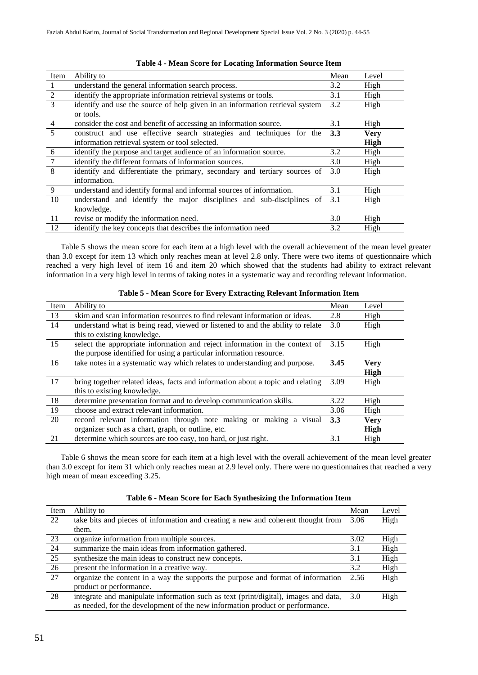| Item           | Ability to                                                                   | Mean | Level       |
|----------------|------------------------------------------------------------------------------|------|-------------|
| $\overline{1}$ | understand the general information search process.                           | 3.2  | High        |
| 2              | identify the appropriate information retrieval systems or tools.             | 3.1  | High        |
| 3              | identify and use the source of help given in an information retrieval system | 3.2  | High        |
|                | or tools.                                                                    |      |             |
| $\overline{4}$ | consider the cost and benefit of accessing an information source.            | 3.1  | High        |
| $\overline{5}$ | construct and use effective search strategies and techniques for the         | 3.3  | <b>Very</b> |
|                | information retrieval system or tool selected.                               |      | High        |
| 6              | identify the purpose and target audience of an information source.           | 3.2  | High        |
| $\overline{7}$ | identify the different formats of information sources.                       | 3.0  | High        |
| 8              | identify and differentiate the primary, secondary and tertiary sources of    | 3.0  | High        |
|                | information.                                                                 |      |             |
| 9              | understand and identify formal and informal sources of information.          | 3.1  | High        |
| 10             | understand and identify the major disciplines and sub-disciplines of         | 3.1  | High        |
|                | knowledge.                                                                   |      |             |
| -11            | revise or modify the information need.                                       | 3.0  | High        |
| 12             | identify the key concepts that describes the information need                | 3.2  | High        |

#### **Table 4 - Mean Score for Locating Information Source Item**

Table 5 shows the mean score for each item at a high level with the overall achievement of the mean level greater than 3.0 except for item 13 which only reaches mean at level 2.8 only. There were two items of questionnaire which reached a very high level of item 16 and item 20 which showed that the students had ability to extract relevant information in a very high level in terms of taking notes in a systematic way and recording relevant information.

| Item | Ability to                                                                     | Mean | Level       |
|------|--------------------------------------------------------------------------------|------|-------------|
| -13  | skim and scan information resources to find relevant information or ideas.     | 2.8  | High        |
| 14   | understand what is being read, viewed or listened to and the ability to relate | 3.0  | High        |
|      | this to existing knowledge.                                                    |      |             |
| 15   | select the appropriate information and reject information in the context of    | 3.15 | High        |
|      | the purpose identified for using a particular information resource.            |      |             |
| 16   | take notes in a systematic way which relates to understanding and purpose.     | 3.45 | <b>Very</b> |
|      |                                                                                |      | High        |
| 17   | bring together related ideas, facts and information about a topic and relating | 3.09 | High        |
|      | this to existing knowledge.                                                    |      |             |
| 18   | determine presentation format and to develop communication skills.             | 3.22 | High        |
| 19   | choose and extract relevant information.                                       | 3.06 | High        |
| 20   | record relevant information through note making or making a visual             | 3.3  | <b>Very</b> |
|      | organizer such as a chart, graph, or outline, etc.                             |      | High        |
| 21   | determine which sources are too easy, too hard, or just right.                 | 3.1  | High        |

#### **Table 5 - Mean Score for Every Extracting Relevant Information Item**

Table 6 shows the mean score for each item at a high level with the overall achievement of the mean level greater than 3.0 except for item 31 which only reaches mean at 2.9 level only. There were no questionnaires that reached a very high mean of mean exceeding 3.25.

| Item            | Ability to                                                                          | Mean  | Level |
|-----------------|-------------------------------------------------------------------------------------|-------|-------|
| 22              | take bits and pieces of information and creating a new and coherent thought from    | 3.06  | High  |
|                 | them.                                                                               |       |       |
| 23              | organize information from multiple sources.                                         | 3.02  | High  |
| 24              | summarize the main ideas from information gathered.                                 | 3.1   | High  |
| 25              | synthesize the main ideas to construct new concepts.                                | 3.1   | High  |
| $\overline{26}$ | present the information in a creative way.                                          | 3.2   | High  |
| 27              | organize the content in a way the supports the purpose and format of information    | 2.56  | High  |
|                 | product or performance.                                                             |       |       |
| 28              | integrate and manipulate information such as text (print/digital), images and data, | - 3.0 | High  |
|                 | as needed, for the development of the new information product or performance.       |       |       |

#### **Table 6 - Mean Score for Each Synthesizing the Information Item**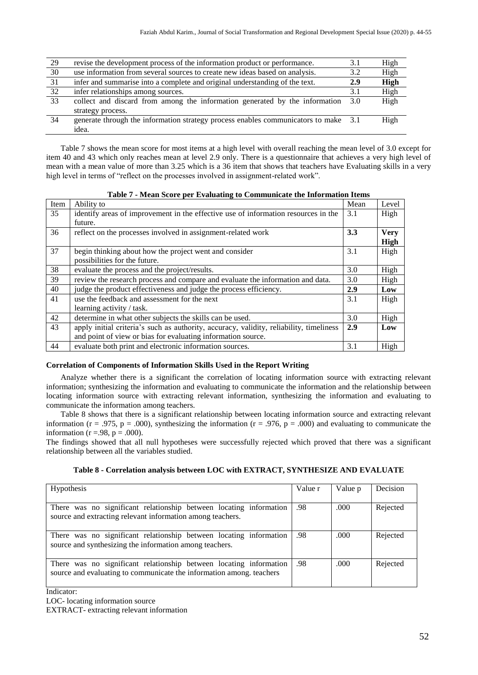| 29 | revise the development process of the information product or performance.           | 3.1 | High |
|----|-------------------------------------------------------------------------------------|-----|------|
| 30 | use information from several sources to create new ideas based on analysis.         | 3.2 | High |
| 31 | infer and summarise into a complete and original understanding of the text.         | 2.9 | High |
| 32 | infer relationships among sources.                                                  | 3.1 | High |
| 33 | collect and discard from among the information generated by the information         | 3.0 | High |
|    | strategy process.                                                                   |     |      |
| 34 | generate through the information strategy process enables communicators to make 3.1 |     | High |
|    | idea.                                                                               |     |      |

Table 7 shows the mean score for most items at a high level with overall reaching the mean level of 3.0 except for item 40 and 43 which only reaches mean at level 2.9 only. There is a questionnaire that achieves a very high level of mean with a mean value of more than 3.25 which is a 36 item that shows that teachers have Evaluating skills in a very high level in terms of "reflect on the processes involved in assignment-related work".

|      | Tubic / Mixan Score per Evanuating to communicate the milorination rechip               |      |             |  |  |
|------|-----------------------------------------------------------------------------------------|------|-------------|--|--|
| Item | Ability to                                                                              | Mean | Level       |  |  |
| 35   | identify areas of improvement in the effective use of information resources in the      | 3.1  | High        |  |  |
|      | future.                                                                                 |      |             |  |  |
| 36   | reflect on the processes involved in assignment-related work                            | 3.3  | <b>Very</b> |  |  |
|      |                                                                                         |      | High        |  |  |
| 37   | begin thinking about how the project went and consider                                  | 3.1  | High        |  |  |
|      | possibilities for the future.                                                           |      |             |  |  |
| 38   | evaluate the process and the project/results.                                           | 3.0  | High        |  |  |
| 39   | review the research process and compare and evaluate the information and data.          | 3.0  | High        |  |  |
| 40   | judge the product effectiveness and judge the process efficiency.                       | 2.9  | Low         |  |  |
| 41   | use the feedback and assessment for the next                                            | 3.1  | High        |  |  |
|      | learning activity / task.                                                               |      |             |  |  |
| 42   | determine in what other subjects the skills can be used.                                | 3.0  | High        |  |  |
| 43   | apply initial criteria's such as authority, accuracy, validity, reliability, timeliness | 2.9  | Low         |  |  |
|      | and point of view or bias for evaluating information source.                            |      |             |  |  |
| 44   | evaluate both print and electronic information sources.                                 | 3.1  | High        |  |  |

**Table 7 - Mean Score per Evaluating to Communicate the Information Items**

# **Correlation of Components of Information Skills Used in the Report Writing**

Analyze whether there is a significant the correlation of locating information source with extracting relevant information; synthesizing the information and evaluating to communicate the information and the relationship between locating information source with extracting relevant information, synthesizing the information and evaluating to communicate the information among teachers.

Table 8 shows that there is a significant relationship between locating information source and extracting relevant information ( $r = .975$ ,  $p = .000$ ), synthesizing the information ( $r = .976$ ,  $p = .000$ ) and evaluating to communicate the information ( $r = .98$ ,  $p = .000$ ).

The findings showed that all null hypotheses were successfully rejected which proved that there was a significant relationship between all the variables studied.

#### **Table 8 - Correlation analysis between LOC with EXTRACT, SYNTHESIZE AND EVALUATE**

| <b>Hypothesis</b>                                                                                                                          | Value r | Value p | Decision |
|--------------------------------------------------------------------------------------------------------------------------------------------|---------|---------|----------|
| There was no significant relationship between locating information<br>source and extracting relevant information among teachers.           | .98     | .000    | Rejected |
| There was no significant relationship between locating information<br>source and synthesizing the information among teachers.              | .98     | .000    | Rejected |
| There was no significant relationship between locating information<br>source and evaluating to communicate the information among, teachers | .98     | .000    | Rejected |

Indicator:

LOC- locating information source

EXTRACT- extracting relevant information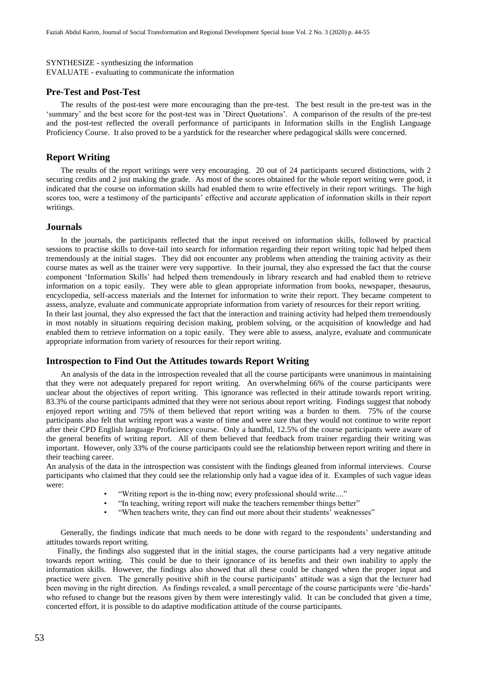SYNTHESIZE - synthesizing the information EVALUATE - evaluating to communicate the information

#### **Pre-Test and Post-Test**

The results of the post-test were more encouraging than the pre-test. The best result in the pre-test was in the 'summary' and the best score for the post-test was in 'Direct Quotations'. A comparison of the results of the pre-test and the post-test reflected the overall performance of participants in Information skills in the English Language Proficiency Course. It also proved to be a yardstick for the researcher where pedagogical skills were concerned.

#### **Report Writing**

The results of the report writings were very encouraging. 20 out of 24 participants secured distinctions, with 2 securing credits and 2 just making the grade. As most of the scores obtained for the whole report writing were good, it indicated that the course on information skills had enabled them to write effectively in their report writings. The high scores too, were a testimony of the participants' effective and accurate application of information skills in their report writings.

#### **Journals**

In the journals, the participants reflected that the input received on information skills, followed by practical sessions to practise skills to dove-tail into search for information regarding their report writing topic had helped them tremendously at the initial stages. They did not encounter any problems when attending the training activity as their course mates as well as the trainer were very supportive. In their journal, they also expressed the fact that the course component 'Information Skills' had helped them tremendously in library research and had enabled them to retrieve information on a topic easily. They were able to glean appropriate information from books, newspaper, thesaurus, encyclopedia, self-access materials and the Internet for information to write their report. They became competent to assess, analyze, evaluate and communicate appropriate information from variety of resources for their report writing. In their last journal, they also expressed the fact that the interaction and training activity had helped them tremendously

in most notably in situations requiring decision making, problem solving, or the acquisition of knowledge and had enabled them to retrieve information on a topic easily. They were able to assess, analyze, evaluate and communicate appropriate information from variety of resources for their report writing.

#### **Introspection to Find Out the Attitudes towards Report Writing**

An analysis of the data in the introspection revealed that all the course participants were unanimous in maintaining that they were not adequately prepared for report writing. An overwhelming 66% of the course participants were unclear about the objectives of report writing. This ignorance was reflected in their attitude towards report writing. 83.3% of the course participants admitted that they were not serious about report writing. Findings suggest that nobody enjoyed report writing and 75% of them believed that report writing was a burden to them. 75% of the course participants also felt that writing report was a waste of time and were sure that they would not continue to write report after their CPD English language Proficiency course. Only a handful, 12.5% of the course participants were aware of the general benefits of writing report. All of them believed that feedback from trainer regarding their writing was important. However, only 33% of the course participants could see the relationship between report writing and there in their teaching career.

An analysis of the data in the introspection was consistent with the findings gleaned from informal interviews. Course participants who claimed that they could see the relationship only had a vague idea of it. Examples of such vague ideas were:

- "Writing report is the in-thing now; every professional should write...."
- "In teaching, writing report will make the teachers remember things better"
- "When teachers write, they can find out more about their students' weaknesses"

Generally, the findings indicate that much needs to be done with regard to the respondents' understanding and attitudes towards report writing.

Finally, the findings also suggested that in the initial stages, the course participants had a very negative attitude towards report writing. This could be due to their ignorance of its benefits and their own inability to apply the information skills. However, the findings also showed that all these could be changed when the proper input and practice were given. The generally positive shift in the course participants' attitude was a sign that the lecturer had been moving in the right direction. As findings revealed, a small percentage of the course participants were 'die-hards' who refused to change but the reasons given by them were interestingly valid. It can be concluded that given a time, concerted effort, it is possible to do adaptive modification attitude of the course participants.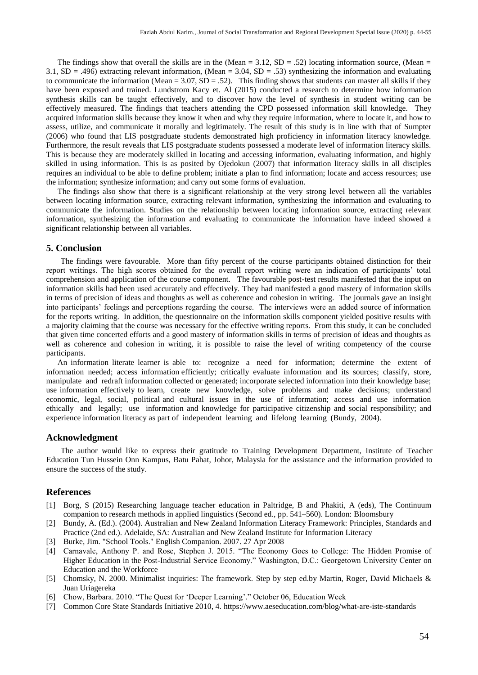The findings show that overall the skills are in the (Mean =  $3.12$ , SD =  $.52$ ) locating information source, (Mean = 3.1,  $SD = .496$ ) extracting relevant information, (Mean = 3.04,  $SD = .53$ ) synthesizing the information and evaluating to communicate the information (Mean =  $3.07$ , SD = .52). This finding shows that students can master all skills if they have been exposed and trained. Lundstrom Kacy et. Al (2015) conducted a research to determine how information synthesis skills can be taught effectively, and to discover how the level of synthesis in student writing can be effectively measured. The findings that teachers attending the CPD possessed information skill knowledge. They acquired information skills because they know it when and why they require information, where to locate it, and how to assess, utilize, and communicate it morally and legitimately. The result of this study is in line with that of Sumpter (2006) who found that LIS postgraduate students demonstrated high proficiency in information literacy knowledge. Furthermore, the result reveals that LIS postgraduate students possessed a moderate level of information literacy skills. This is because they are moderately skilled in locating and accessing information, evaluating information, and highly skilled in using information. This is as posited by Ojedokun (2007) that information literacy skills in all disciples requires an individual to be able to define problem; initiate a plan to find information; locate and access resources; use the information; synthesize information; and carry out some forms of evaluation.

The findings also show that there is a significant relationship at the very strong level between all the variables between locating information source, extracting relevant information, synthesizing the information and evaluating to communicate the information. Studies on the relationship between locating information source, extracting relevant information, synthesizing the information and evaluating to communicate the information have indeed showed a significant relationship between all variables.

#### **5. Conclusion**

The findings were favourable. More than fifty percent of the course participants obtained distinction for their report writings. The high scores obtained for the overall report writing were an indication of participants' total comprehension and application of the course component. The favourable post-test results manifested that the input on information skills had been used accurately and effectively. They had manifested a good mastery of information skills in terms of precision of ideas and thoughts as well as coherence and cohesion in writing. The journals gave an insight into participants' feelings and perceptions regarding the course. The interviews were an added source of information for the reports writing. In addition, the questionnaire on the information skills component yielded positive results with a majority claiming that the course was necessary for the effective writing reports. From this study, it can be concluded that given time concerted efforts and a good mastery of information skills in terms of precision of ideas and thoughts as well as coherence and cohesion in writing, it is possible to raise the level of writing competency of the course participants.

An information literate learner is able to: recognize a need for information; determine the extent of information needed; access information efficiently; critically evaluate information and its sources; classify, store, manipulate and redraft information collected or generated; incorporate selected information into their knowledge base; use information effectively to learn, create new knowledge, solve problems and make decisions; understand economic, legal, social, political and cultural issues in the use of information; access and use information ethically and legally; use information and knowledge for participative citizenship and social responsibility; and experience information literacy as part of independent learning and lifelong learning (Bundy, 2004).

#### **Acknowledgment**

The author would like to express their gratitude to Training Development Department, Institute of Teacher Education Tun Hussein Onn Kampus, Batu Pahat, Johor, Malaysia for the assistance and the information provided to ensure the success of the study.

#### **References**

- [1] Borg, S (2015) Researching language teacher education in Paltridge, B and Phakiti, A (eds), The Continuum companion to research methods in applied linguistics (Second ed., pp. 541–560). London: Bloomsbury
- [2] Bundy, A. (Ed.). (2004). Australian and New Zealand Information Literacy Framework: Principles, Standards and Practice (2nd ed.). Adelaide, SA: Australian and New Zealand Institute for Information Literacy
- [3] Burke, Jim. "School Tools." English Companion. 2007. 27 Apr 2008
- [4] Carnavale, Anthony P. and Rose, Stephen J. 2015. "The Economy Goes to College: The Hidden Promise of Higher Education in the Post-Industrial Service Economy." Washington, D.C.: Georgetown University Center on Education and the Workforce
- [5] Chomsky, N. 2000. Minimalist inquiries: The framework. Step by step ed.by Martin, Roger, David Michaels & Juan Uriagereka
- [6] Chow, Barbara. 2010. "The Quest for 'Deeper Learning'." October 06, Education Week
- [7] Common Core State Standards Initiative 2010, 4. https://www.aeseducation.com/blog/what-are-iste-standards